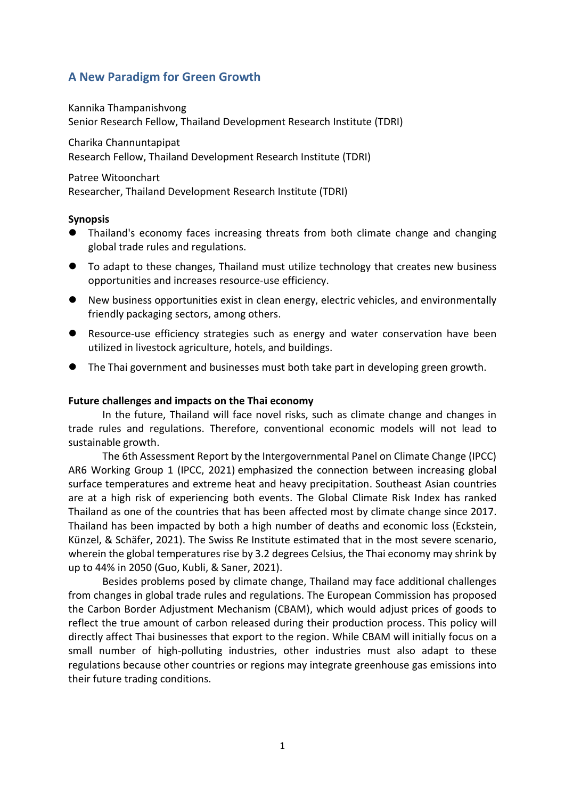# **A New Paradigm for Green Growth**

Kannika Thampanishvong Senior Research Fellow, Thailand Development Research Institute (TDRI)

Charika Channuntapipat Research Fellow, Thailand Development Research Institute (TDRI)

Patree Witoonchart

Researcher, Thailand Development Research Institute (TDRI)

## **Synopsis**

- ⚫ Thailand's economy faces increasing threats from both climate change and changing global trade rules and regulations.
- To adapt to these changes, Thailand must utilize technology that creates new business opportunities and increases resource-use efficiency.
- New business opportunities exist in clean energy, electric vehicles, and environmentally friendly packaging sectors, among others.
- ⚫ Resource-use efficiency strategies such as energy and water conservation have been utilized in livestock agriculture, hotels, and buildings.
- ⚫ The Thai government and businesses must both take part in developing green growth.

#### **Future challenges and impacts on the Thai economy**

In the future, Thailand will face novel risks, such as climate change and changes in trade rules and regulations. Therefore, conventional economic models will not lead to sustainable growth.

The 6th Assessment Report by the Intergovernmental Panel on Climate Change (IPCC) AR6 Working Group 1 (IPCC, 2021) emphasized the connection between increasing global surface temperatures and extreme heat and heavy precipitation. Southeast Asian countries are at a high risk of experiencing both events. The Global Climate Risk Index has ranked Thailand as one of the countries that has been affected most by climate change since 2017. Thailand has been impacted by both a high number of deaths and economic loss (Eckstein, Künzel, & Schäfer, 2021). The Swiss Re Institute estimated that in the most severe scenario, wherein the global temperatures rise by 3.2 degrees Celsius, the Thai economy may shrink by up to 44% in 2050 (Guo, Kubli, & Saner, 2021).

Besides problems posed by climate change, Thailand may face additional challenges from changes in global trade rules and regulations. The European Commission has proposed the Carbon Border Adjustment Mechanism (CBAM), which would adjust prices of goods to reflect the true amount of carbon released during their production process. This policy will directly affect Thai businesses that export to the region. While CBAM will initially focus on a small number of high-polluting industries, other industries must also adapt to these regulations because other countries or regions may integrate greenhouse gas emissions into their future trading conditions.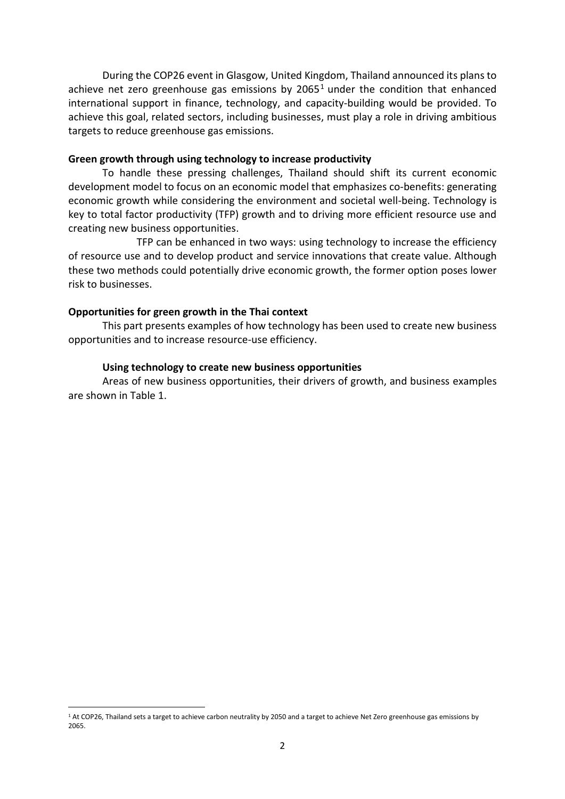During the COP26 event in Glasgow, United Kingdom, Thailand announced its plans to achieve net zero greenhouse gas emissions by  $2065<sup>1</sup>$  under the condition that enhanced international support in finance, technology, and capacity-building would be provided. To achieve this goal, related sectors, including businesses, must play a role in driving ambitious targets to reduce greenhouse gas emissions.

#### **Green growth through using technology to increase productivity**

To handle these pressing challenges, Thailand should shift its current economic development model to focus on an economic model that emphasizes co-benefits: generating economic growth while considering the environment and societal well-being. Technology is key to total factor productivity (TFP) growth and to driving more efficient resource use and creating new business opportunities.

TFP can be enhanced in two ways: using technology to increase the efficiency of resource use and to develop product and service innovations that create value. Although these two methods could potentially drive economic growth, the former option poses lower risk to businesses.

#### **Opportunities for green growth in the Thai context**

This part presents examples of how technology has been used to create new business opportunities and to increase resource-use efficiency.

#### **Using technology to create new business opportunities**

Areas of new business opportunities, their drivers of growth, and business examples are shown in Table 1.

<sup>1</sup> At COP26, Thailand sets a target to achieve carbon neutrality by 2050 and a target to achieve Net Zero greenhouse gas emissions by 2065.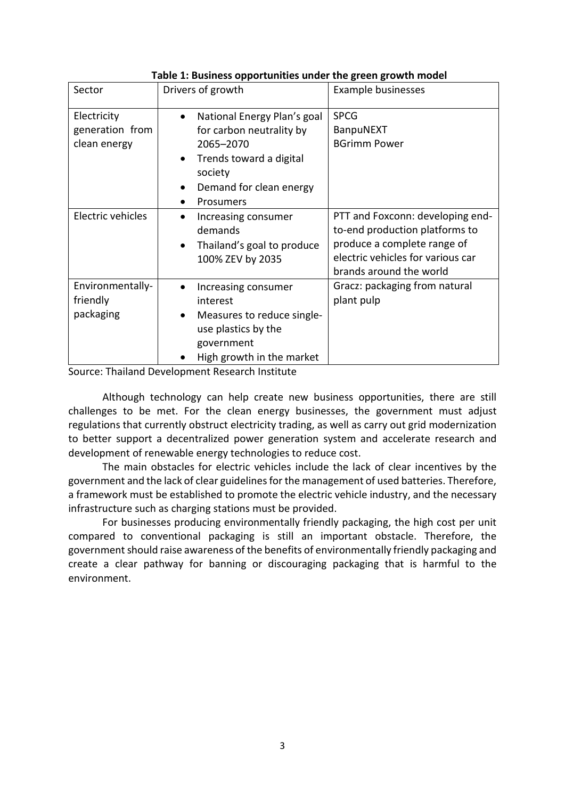| Sector                                         | Drivers of growth                                                                                                                                                            | Example businesses                                                                                                                                                |
|------------------------------------------------|------------------------------------------------------------------------------------------------------------------------------------------------------------------------------|-------------------------------------------------------------------------------------------------------------------------------------------------------------------|
| Electricity<br>generation from<br>clean energy | National Energy Plan's goal<br>$\bullet$<br>for carbon neutrality by<br>2065-2070<br>Trends toward a digital<br>$\bullet$<br>society<br>Demand for clean energy<br>Prosumers | <b>SPCG</b><br>BanpuNEXT<br><b>BGrimm Power</b>                                                                                                                   |
| Electric vehicles                              | Increasing consumer<br>demands<br>Thailand's goal to produce<br>$\bullet$<br>100% ZEV by 2035                                                                                | PTT and Foxconn: developing end-<br>to-end production platforms to<br>produce a complete range of<br>electric vehicles for various car<br>brands around the world |
| Environmentally-<br>friendly<br>packaging      | Increasing consumer<br>interest<br>Measures to reduce single-<br>$\bullet$<br>use plastics by the<br>government<br>High growth in the market                                 | Gracz: packaging from natural<br>plant pulp                                                                                                                       |

**Table 1: Business opportunities under the green growth model**

Source: Thailand Development Research Institute

Although technology can help create new business opportunities, there are still challenges to be met. For the clean energy businesses, the government must adjust regulations that currently obstruct electricity trading, as well as carry out grid modernization to better support a decentralized power generation system and accelerate research and development of renewable energy technologies to reduce cost.

The main obstacles for electric vehicles include the lack of clear incentives by the government and the lack of clear guidelines for the management of used batteries. Therefore, a framework must be established to promote the electric vehicle industry, and the necessary infrastructure such as charging stations must be provided.

For businesses producing environmentally friendly packaging, the high cost per unit compared to conventional packaging is still an important obstacle. Therefore, the government should raise awareness of the benefits of environmentally friendly packaging and create a clear pathway for banning or discouraging packaging that is harmful to the environment.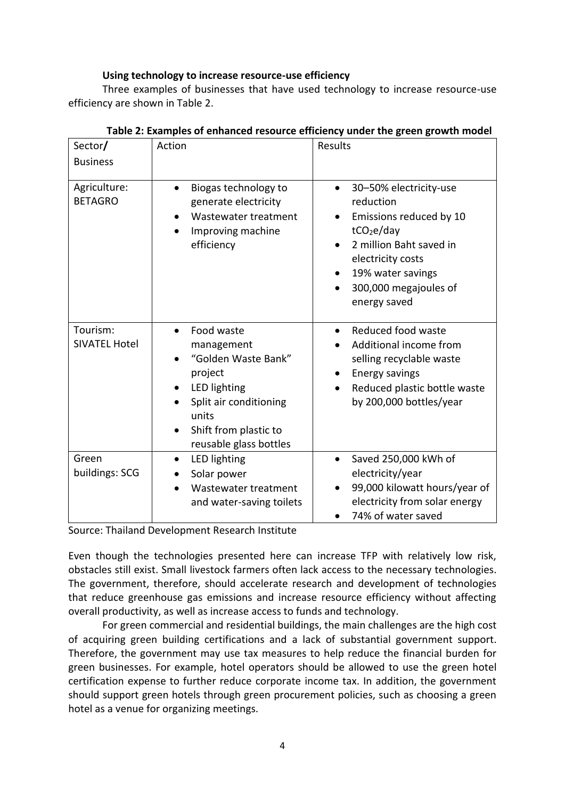# **Using technology to increase resource-use efficiency**

Three examples of businesses that have used technology to increase resource-use efficiency are shown in Table 2.

| Sector/                          | Action                                                                                                                                                           | Results                                                                                                                                                                                                             |
|----------------------------------|------------------------------------------------------------------------------------------------------------------------------------------------------------------|---------------------------------------------------------------------------------------------------------------------------------------------------------------------------------------------------------------------|
| <b>Business</b>                  |                                                                                                                                                                  |                                                                                                                                                                                                                     |
| Agriculture:<br><b>BETAGRO</b>   | Biogas technology to<br>generate electricity<br>Wastewater treatment<br>Improving machine<br>efficiency                                                          | 30-50% electricity-use<br>reduction<br>Emissions reduced by 10<br>tCO <sub>2</sub> e/day<br>2 million Baht saved in<br>electricity costs<br>19% water savings<br>300,000 megajoules of<br>$\bullet$<br>energy saved |
| Tourism:<br><b>SIVATEL Hotel</b> | Food waste<br>management<br>"Golden Waste Bank"<br>project<br>LED lighting<br>Split air conditioning<br>units<br>Shift from plastic to<br>reusable glass bottles | Reduced food waste<br>Additional income from<br>selling recyclable waste<br>Energy savings<br>Reduced plastic bottle waste<br>$\bullet$<br>by 200,000 bottles/year                                                  |
| Green<br>buildings: SCG          | LED lighting<br>$\bullet$<br>Solar power<br>Wastewater treatment<br>and water-saving toilets                                                                     | Saved 250,000 kWh of<br>$\bullet$<br>electricity/year<br>99,000 kilowatt hours/year of<br>electricity from solar energy<br>74% of water saved                                                                       |

# **Table 2: Examples of enhanced resource efficiency under the green growth model**

Source: Thailand Development Research Institute

Even though the technologies presented here can increase TFP with relatively low risk, obstacles still exist. Small livestock farmers often lack access to the necessary technologies. The government, therefore, should accelerate research and development of technologies that reduce greenhouse gas emissions and increase resource efficiency without affecting overall productivity, as well as increase access to funds and technology.

For green commercial and residential buildings, the main challenges are the high cost of acquiring green building certifications and a lack of substantial government support. Therefore, the government may use tax measures to help reduce the financial burden for green businesses. For example, hotel operators should be allowed to use the green hotel certification expense to further reduce corporate income tax. In addition, the government should support green hotels through green procurement policies, such as choosing a green hotel as a venue for organizing meetings.